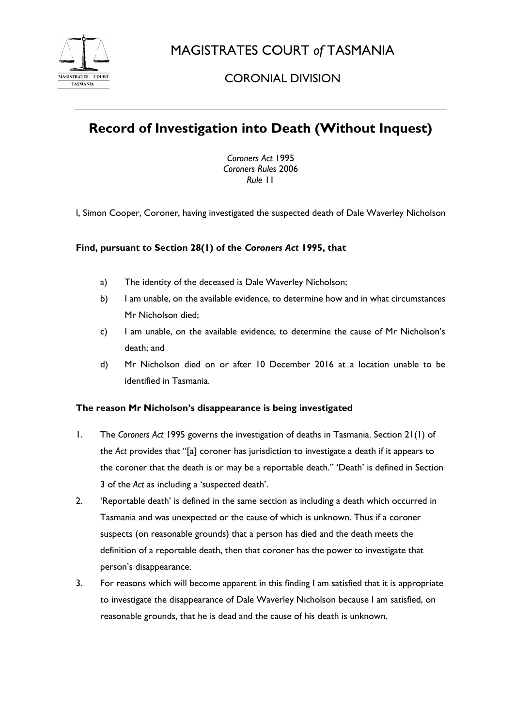

MAGISTRATES COURT *of* TASMANIA

## CORONIAL DIVISION

# **Record of Investigation into Death (Without Inquest)**

*Coroners Act* 1995 *Coroners Rules* 2006 *Rule* 11

I, Simon Cooper, Coroner, having investigated the suspected death of Dale Waverley Nicholson

### **Find, pursuant to Section 28(1) of the** *Coroners Act* **1995, that**

- a) The identity of the deceased is Dale Waverley Nicholson;
- b) I am unable, on the available evidence, to determine how and in what circumstances Mr Nicholson died;
- c) I am unable, on the available evidence, to determine the cause of Mr Nicholson's death; and
- d) Mr Nicholson died on or after 10 December 2016 at a location unable to be identified in Tasmania.

#### **The reason Mr Nicholson's disappearance is being investigated**

- 1. The *Coroners Act* 1995 governs the investigation of deaths in Tasmania. Section 21(1) of the *Act* provides that "[a] coroner has jurisdiction to investigate a death if it appears to the coroner that the death is or may be a reportable death." 'Death' is defined in Section 3 of the *Act* as including a 'suspected death'.
- 2. 'Reportable death' is defined in the same section as including a death which occurred in Tasmania and was unexpected or the cause of which is unknown. Thus if a coroner suspects (on reasonable grounds) that a person has died and the death meets the definition of a reportable death, then that coroner has the power to investigate that person's disappearance.
- 3. For reasons which will become apparent in this finding I am satisfied that it is appropriate to investigate the disappearance of Dale Waverley Nicholson because I am satisfied, on reasonable grounds, that he is dead and the cause of his death is unknown.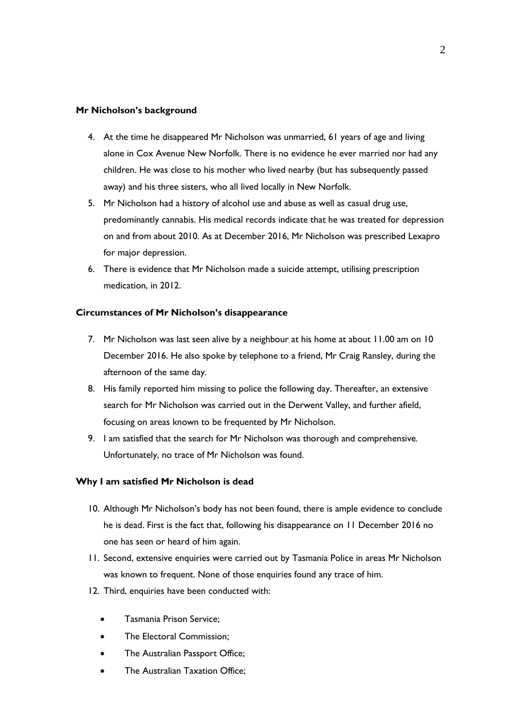#### **Mr Nicholson's background**

- 4. At the time he disappeared Mr Nicholson was unmarried, 61 years of age and living alone in Cox Avenue New Norfolk. There is no evidence he ever married nor had any children. He was close to his mother who lived nearby (but has subsequently passed away) and his three sisters, who all lived locally in New Norfolk.
- 5. Mr Nicholson had a history of alcohol use and abuse as well as casual drug use, predominantly cannabis. His medical records indicate that he was treated for depression on and from about 2010. As at December 2016, Mr Nicholson was prescribed Lexapro for major depression.
- 6. There is evidence that Mr Nicholson made a suicide attempt, utilising prescription medication, in 2012.

#### **Circumstances of Mr Nicholson's disappearance**

- 7. Mr Nicholson was last seen alive by a neighbour at his home at about 11.00 am on 10 December 2016. He also spoke by telephone to a friend, Mr Craig Ransley, during the afternoon of the same day.
- 8. His family reported him missing to police the following day. Thereafter, an extensive search for Mr Nicholson was carried out in the Derwent Valley, and further afield, focusing on areas known to be frequented by Mr Nicholson.
- 9. I am satisfied that the search for Mr Nicholson was thorough and comprehensive. Unfortunately, no trace of Mr Nicholson was found.

#### **Why I am satisfied Mr Nicholson is dead**

- 10. Although Mr Nicholson's body has not been found, there is ample evidence to conclude he is dead. First is the fact that, following his disappearance on 11 December 2016 no one has seen or heard of him again.
- 11. Second, extensive enquiries were carried out by Tasmania Police in areas Mr Nicholson was known to frequent. None of those enquiries found any trace of him.
- 12. Third, enquiries have been conducted with:
	- Tasmania Prison Service;
	- The Electoral Commission;
	- The Australian Passport Office;
	- The Australian Taxation Office;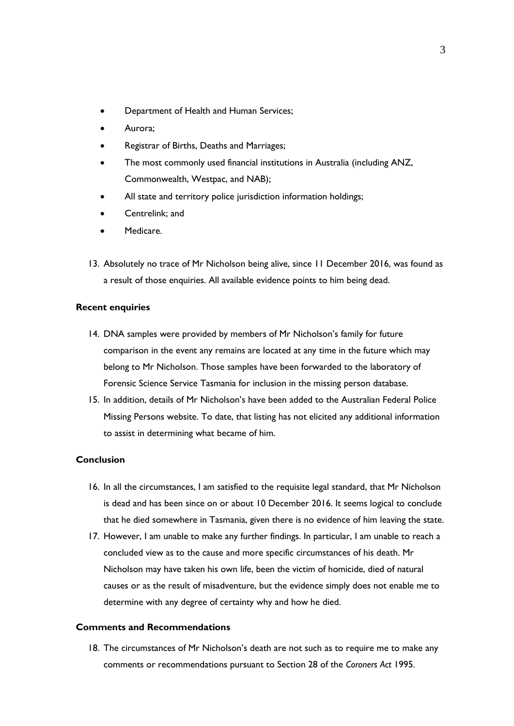- Department of Health and Human Services;
- Aurora;
- Registrar of Births, Deaths and Marriages;
- The most commonly used financial institutions in Australia (including ANZ, Commonwealth, Westpac, and NAB);
- All state and territory police jurisdiction information holdings;
- Centrelink; and
- Medicare.
- 13. Absolutely no trace of Mr Nicholson being alive, since 11 December 2016, was found as a result of those enquiries. All available evidence points to him being dead.

#### **Recent enquiries**

- 14. DNA samples were provided by members of Mr Nicholson's family for future comparison in the event any remains are located at any time in the future which may belong to Mr Nicholson. Those samples have been forwarded to the laboratory of Forensic Science Service Tasmania for inclusion in the missing person database.
- 15. In addition, details of Mr Nicholson's have been added to the Australian Federal Police Missing Persons website. To date, that listing has not elicited any additional information to assist in determining what became of him.

### **Conclusion**

- 16. In all the circumstances, I am satisfied to the requisite legal standard, that Mr Nicholson is dead and has been since on or about 10 December 2016. It seems logical to conclude that he died somewhere in Tasmania, given there is no evidence of him leaving the state.
- 17. However, I am unable to make any further findings. In particular, I am unable to reach a concluded view as to the cause and more specific circumstances of his death. Mr Nicholson may have taken his own life, been the victim of homicide, died of natural causes or as the result of misadventure, but the evidence simply does not enable me to determine with any degree of certainty why and how he died.

#### **Comments and Recommendations**

18. The circumstances of Mr Nicholson's death are not such as to require me to make any comments or recommendations pursuant to Section 28 of the *Coroners Act* 1995.